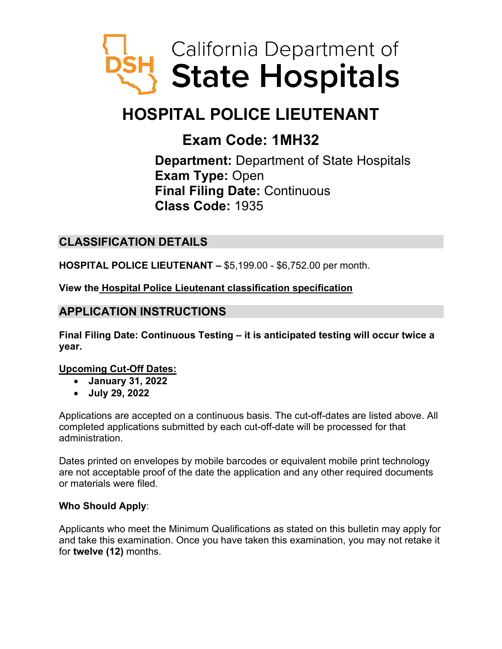

# **HOSPITAL POLICE LIEUTENANT**

# **Exam Code: 1MH32**

**Department:** Department of State Hospitals **Exam Type:** Open **Final Filing Date:** Continuous **Class Code:** 1935

# **CLASSIFICATION DETAILS**

**HOSPITAL POLICE LIEUTENANT –** \$5,199.00 - \$6,752.00 per month.

**View the [Hospital Police Lieutenant classification specification](https://www.calhr.ca.gov/state-hr-professionals/Pages/1937.aspx)**

# **APPLICATION INSTRUCTIONS**

**Final Filing Date: Continuous Testing – it is anticipated testing will occur twice a year.** 

#### **Upcoming Cut-Off Dates:**

- **January 31, 2022**
- **July 29, 2022**

Applications are accepted on a continuous basis. The cut-off-dates are listed above. All completed applications submitted by each cut-off-date will be processed for that administration.

Dates printed on envelopes by mobile barcodes or equivalent mobile print technology are not acceptable proof of the date the application and any other required documents or materials were filed.

#### **Who Should Apply**:

Applicants who meet the Minimum Qualifications as stated on this bulletin may apply for and take this examination. Once you have taken this examination, you may not retake it for **twelve (12)** months.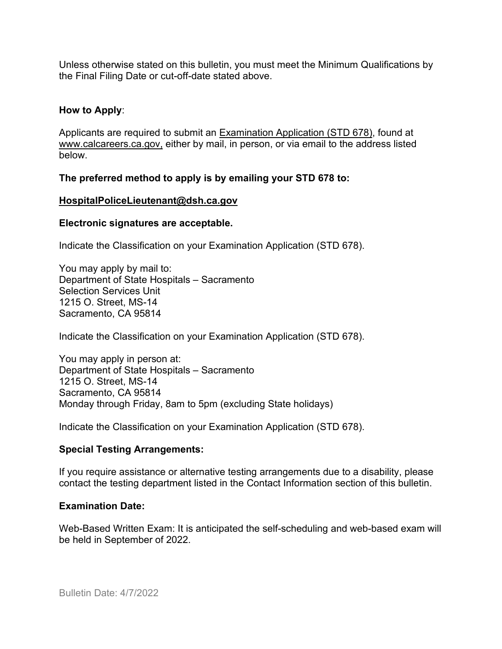Unless otherwise stated on this bulletin, you must meet the Minimum Qualifications by the Final Filing Date or cut-off-date stated above.

#### **How to Apply**:

Applicants are required to submit an [Examination Application \(STD 678\),](https://jobs.ca.gov/pdf/std678.pdf) found at [www.calcareers.ca.gov,](http://www.calcareers.ca.gov/) either by mail, in person, or via email to the address listed below.

#### **The preferred method to apply is by emailing your STD 678 to:**

#### **[HospitalPoliceLieutenant@dsh.ca.gov](mailto:HospitalpoliceLieutenant@dsh.ca.gov)**

#### **Electronic signatures are acceptable.**

Indicate the Classification on your Examination Application (STD 678).

You may apply by mail to: Department of State Hospitals – Sacramento Selection Services Unit 1215 O. Street, MS-14 Sacramento, CA 95814

Indicate the Classification on your Examination Application (STD 678).

You may apply in person at: Department of State Hospitals – Sacramento 1215 O. Street, MS-14 Sacramento, CA 95814 Monday through Friday, 8am to 5pm (excluding State holidays)

Indicate the Classification on your Examination Application (STD 678).

#### **Special Testing Arrangements:**

If you require assistance or alternative testing arrangements due to a disability, please contact the testing department listed in the Contact Information section of this bulletin.

#### **Examination Date:**

Web-Based Written Exam: It is anticipated the self-scheduling and web-based exam will be held in September of 2022.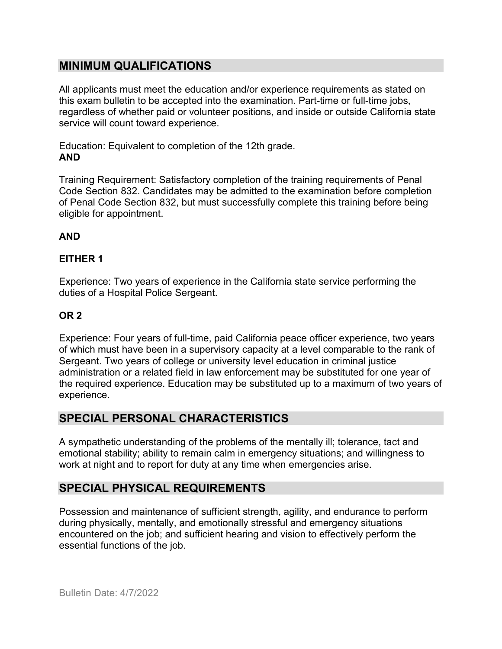## **MINIMUM QUALIFICATIONS**

All applicants must meet the education and/or experience requirements as stated on this exam bulletin to be accepted into the examination. Part-time or full-time jobs, regardless of whether paid or volunteer positions, and inside or outside California state service will count toward experience.

Education: Equivalent to completion of the 12th grade. **AND**

Training Requirement: Satisfactory completion of the training requirements of Penal Code Section 832. Candidates may be admitted to the examination before completion of Penal Code Section 832, but must successfully complete this training before being eligible for appointment.

## **AND**

## **EITHER 1**

Experience: Two years of experience in the California state service performing the duties of a Hospital Police Sergeant.

## **OR 2**

Experience: Four years of full-time, paid California peace officer experience, two years of which must have been in a supervisory capacity at a level comparable to the rank of Sergeant. Two years of college or university level education in criminal justice administration or a related field in law enforcement may be substituted for one year of the required experience. Education may be substituted up to a maximum of two years of experience.

## **SPECIAL PERSONAL CHARACTERISTICS**

A sympathetic understanding of the problems of the mentally ill; tolerance, tact and emotional stability; ability to remain calm in emergency situations; and willingness to work at night and to report for duty at any time when emergencies arise.

# **SPECIAL PHYSICAL REQUIREMENTS**

Possession and maintenance of sufficient strength, agility, and endurance to perform during physically, mentally, and emotionally stressful and emergency situations encountered on the job; and sufficient hearing and vision to effectively perform the essential functions of the job.

Bulletin Date: 4/7/2022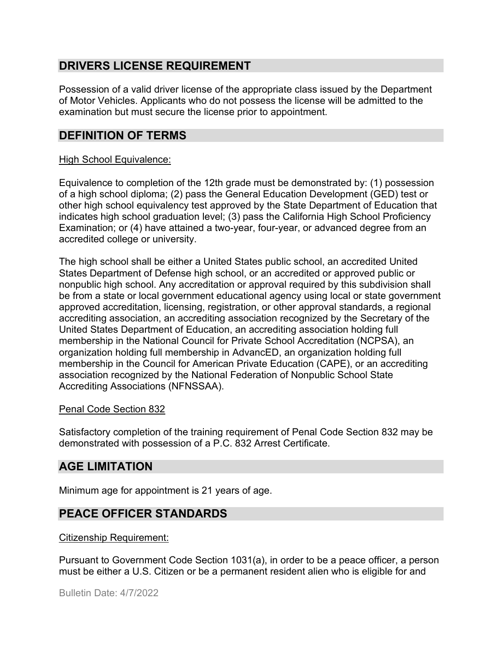# **DRIVERS LICENSE REQUIREMENT**

Possession of a valid driver license of the appropriate class issued by the Department of Motor Vehicles. Applicants who do not possess the license will be admitted to the examination but must secure the license prior to appointment.

# **DEFINITION OF TERMS**

#### High School Equivalence:

Equivalence to completion of the 12th grade must be demonstrated by: (1) possession of a high school diploma; (2) pass the General Education Development (GED) test or other high school equivalency test approved by the State Department of Education that indicates high school graduation level; (3) pass the California High School Proficiency Examination; or (4) have attained a two-year, four-year, or advanced degree from an accredited college or university.

The high school shall be either a United States public school, an accredited United States Department of Defense high school, or an accredited or approved public or nonpublic high school. Any accreditation or approval required by this subdivision shall be from a state or local government educational agency using local or state government approved accreditation, licensing, registration, or other approval standards, a regional accrediting association, an accrediting association recognized by the Secretary of the United States Department of Education, an accrediting association holding full membership in the National Council for Private School Accreditation (NCPSA), an organization holding full membership in AdvancED, an organization holding full membership in the Council for American Private Education (CAPE), or an accrediting association recognized by the National Federation of Nonpublic School State Accrediting Associations (NFNSSAA).

#### Penal Code Section 832

Satisfactory completion of the training requirement of Penal Code Section 832 may be demonstrated with possession of a P.C. 832 Arrest Certificate.

# **AGE LIMITATION**

Minimum age for appointment is 21 years of age.

# **PEACE OFFICER STANDARDS**

#### Citizenship Requirement:

Pursuant to Government Code Section 1031(a), in order to be a peace officer, a person must be either a U.S. Citizen or be a permanent resident alien who is eligible for and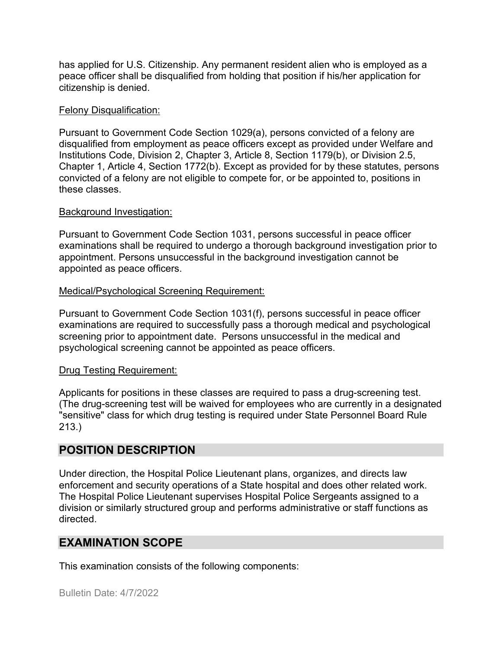has applied for U.S. Citizenship. Any permanent resident alien who is employed as a peace officer shall be disqualified from holding that position if his/her application for citizenship is denied.

#### Felony Disqualification:

Pursuant to Government Code Section 1029(a), persons convicted of a felony are disqualified from employment as peace officers except as provided under Welfare and Institutions Code, Division 2, Chapter 3, Article 8, Section 1179(b), or Division 2.5, Chapter 1, Article 4, Section 1772(b). Except as provided for by these statutes, persons convicted of a felony are not eligible to compete for, or be appointed to, positions in these classes.

#### Background Investigation:

Pursuant to Government Code Section 1031, persons successful in peace officer examinations shall be required to undergo a thorough background investigation prior to appointment. Persons unsuccessful in the background investigation cannot be appointed as peace officers.

#### Medical/Psychological Screening Requirement:

Pursuant to Government Code Section 1031(f), persons successful in peace officer examinations are required to successfully pass a thorough medical and psychological screening prior to appointment date. Persons unsuccessful in the medical and psychological screening cannot be appointed as peace officers.

#### Drug Testing Requirement:

Applicants for positions in these classes are required to pass a drug-screening test. (The drug-screening test will be waived for employees who are currently in a designated "sensitive" class for which drug testing is required under State Personnel Board Rule 213.)

## **POSITION DESCRIPTION**

Under direction, the Hospital Police Lieutenant plans, organizes, and directs law enforcement and security operations of a State hospital and does other related work. The Hospital Police Lieutenant supervises Hospital Police Sergeants assigned to a division or similarly structured group and performs administrative or staff functions as directed.

## **EXAMINATION SCOPE**

This examination consists of the following components: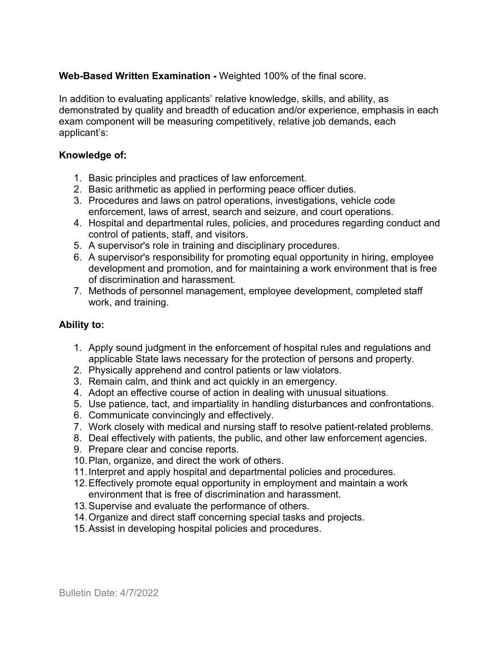#### **Web-Based Written Examination -** Weighted 100% of the final score.

In addition to evaluating applicants' relative knowledge, skills, and ability, as demonstrated by quality and breadth of education and/or experience, emphasis in each exam component will be measuring competitively, relative job demands, each applicant's:

#### **Knowledge of:**

- 1. Basic principles and practices of law enforcement.
- 2. Basic arithmetic as applied in performing peace officer duties.
- 3. Procedures and laws on patrol operations, investigations, vehicle code enforcement, laws of arrest, search and seizure, and court operations.
- 4. Hospital and departmental rules, policies, and procedures regarding conduct and control of patients, staff, and visitors.
- 5. A supervisor's role in training and disciplinary procedures.
- 6. A supervisor's responsibility for promoting equal opportunity in hiring, employee development and promotion, and for maintaining a work environment that is free of discrimination and harassment.
- 7. Methods of personnel management, employee development, completed staff work, and training.

#### **Ability to:**

- 1. Apply sound judgment in the enforcement of hospital rules and regulations and applicable State laws necessary for the protection of persons and property.
- 2. Physically apprehend and control patients or law violators.
- 3. Remain calm, and think and act quickly in an emergency.
- 4. Adopt an effective course of action in dealing with unusual situations.
- 5. Use patience, tact, and impartiality in handling disturbances and confrontations.
- 6. Communicate convincingly and effectively.
- 7. Work closely with medical and nursing staff to resolve patient-related problems.
- 8. Deal effectively with patients, the public, and other law enforcement agencies.
- 9. Prepare clear and concise reports.
- 10.Plan, organize, and direct the work of others.
- 11.Interpret and apply hospital and departmental policies and procedures.
- 12.Effectively promote equal opportunity in employment and maintain a work environment that is free of discrimination and harassment.
- 13.Supervise and evaluate the performance of others.
- 14.Organize and direct staff concerning special tasks and projects.
- 15.Assist in developing hospital policies and procedures.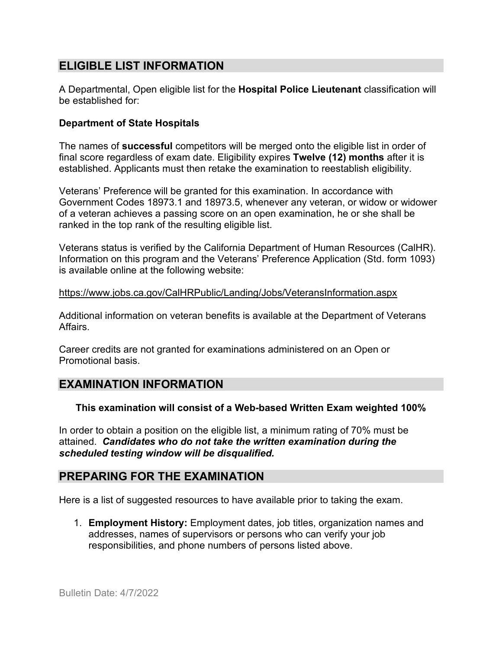## **ELIGIBLE LIST INFORMATION**

A Departmental, Open eligible list for the **Hospital Police Lieutenant** classification will be established for:

#### **Department of State Hospitals**

The names of **successful** competitors will be merged onto the eligible list in order of final score regardless of exam date. Eligibility expires **Twelve (12) months** after it is established. Applicants must then retake the examination to reestablish eligibility.

Veterans' Preference will be granted for this examination. In accordance with Government Codes 18973.1 and 18973.5, whenever any veteran, or widow or widower of a veteran achieves a passing score on an open examination, he or she shall be ranked in the top rank of the resulting eligible list.

Veterans status is verified by the California Department of Human Resources (CalHR). Information on this program and the Veterans' Preference Application (Std. form 1093) is available online at the following website:

#### <https://www.jobs.ca.gov/CalHRPublic/Landing/Jobs/VeteransInformation.aspx>

Additional information on veteran benefits is available at the Department of Veterans Affairs.

Career credits are not granted for examinations administered on an Open or Promotional basis.

## **EXAMINATION INFORMATION**

#### **This examination will consist of a Web-based Written Exam weighted 100%**

In order to obtain a position on the eligible list, a minimum rating of 70% must be attained. *Candidates who do not take the written examination during the scheduled testing window will be disqualified.*

## **PREPARING FOR THE EXAMINATION**

Here is a list of suggested resources to have available prior to taking the exam.

1. **Employment History:** Employment dates, job titles, organization names and addresses, names of supervisors or persons who can verify your job responsibilities, and phone numbers of persons listed above.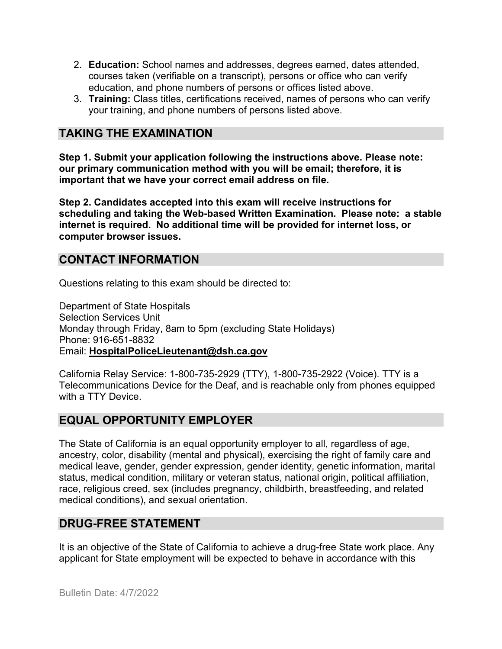- 2. **Education:** School names and addresses, degrees earned, dates attended, courses taken (verifiable on a transcript), persons or office who can verify education, and phone numbers of persons or offices listed above.
- 3. **Training:** Class titles, certifications received, names of persons who can verify your training, and phone numbers of persons listed above.

## **TAKING THE EXAMINATION**

**Step 1. Submit your application following the instructions above. Please note: our primary communication method with you will be email; therefore, it is important that we have your correct email address on file.**

**Step 2. Candidates accepted into this exam will receive instructions for scheduling and taking the Web-based Written Examination. Please note: a stable internet is required. No additional time will be provided for internet loss, or computer browser issues.** 

## **CONTACT INFORMATION**

Questions relating to this exam should be directed to:

Department of State Hospitals Selection Services Unit Monday through Friday, 8am to 5pm (excluding State Holidays) Phone: 916-651-8832 Email: **[HospitalPoliceLieutenant@dsh.ca.gov](mailto:HospitalPoliceLieutenant@dsh.ca.gov)**

California Relay Service: 1-800-735-2929 (TTY), 1-800-735-2922 (Voice). TTY is a Telecommunications Device for the Deaf, and is reachable only from phones equipped with a TTY Device.

# **EQUAL OPPORTUNITY EMPLOYER**

The State of California is an equal opportunity employer to all, regardless of age, ancestry, color, disability (mental and physical), exercising the right of family care and medical leave, gender, gender expression, gender identity, genetic information, marital status, medical condition, military or veteran status, national origin, political affiliation, race, religious creed, sex (includes pregnancy, childbirth, breastfeeding, and related medical conditions), and sexual orientation.

# **DRUG-FREE STATEMENT**

It is an objective of the State of California to achieve a drug-free State work place. Any applicant for State employment will be expected to behave in accordance with this